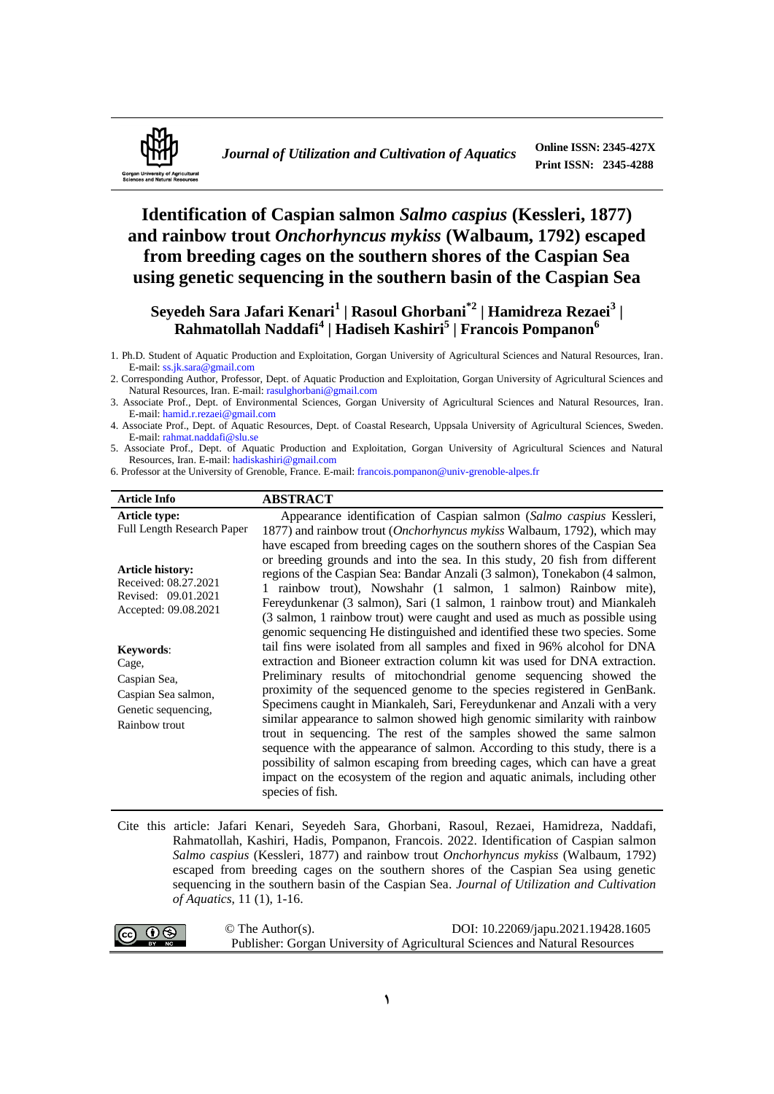

## **Identification of Caspian salmon** *Salmo caspius* **(Kessleri, 1877) and rainbow trout** *Onchorhyncus mykiss* **(Walbaum, 1792) escaped from breeding cages on the southern shores of the Caspian Sea using genetic sequencing in the southern basin of the Caspian Sea**

**Seyedeh Sara Jafari Kenari<sup>1</sup> | Rasoul Ghorbani\*2 | Hamidreza Rezaei<sup>3</sup> | Rahmatollah Naddafi<sup>4</sup> | Hadiseh Kashiri<sup>5</sup> | Francois Pompanon<sup>6</sup>**

1. Ph.D. Student of Aquatic Production and Exploitation, Gorgan University of Agricultural Sciences and Natural Resources, Iran. E-mail[: ss.jk.sara@gmail.com](mailto:ss.jk.sara@gmail.com)

2. Corresponding Author, Professor, Dept. of Aquatic Production and Exploitation, Gorgan University of Agricultural Sciences and Natural Resources, Iran. E-mail[: rasulghorbani@gmail.com](mailto:rasulghorbani@gmail.com)

3. Associate Prof., Dept. of Environmental Sciences, Gorgan University of Agricultural Sciences and Natural Resources, Iran. E-mail[: hamid.r.rezaei@gmail.com](mailto:hamid.r.rezaei@gmail.com)

4. Associate Prof., Dept. of Aquatic Resources, Dept. of Coastal Research, Uppsala University of Agricultural Sciences, Sweden. E-mail: rahmat.naddafi@slu.se

5. Associate Prof., Dept. of Aquatic Production and Exploitation, Gorgan University of Agricultural Sciences and Natural Resources, Iran. E-mail: hadiskashiri@gmail.com

6. Professor at the University of Grenoble, France. E-mail: [francois.pompanon@univ-grenoble-alpes.fr](mailto:francois.pompanon@univ-grenoble-alpes.fr)

| <b>Article Info</b>                                                                                      | <b>ABSTRACT</b>                                                                                                                                                                                                                                                                                                                                                                                                                                                                                                                                                                                                                                                                                                                                                                                                                                                                                                                                                   |
|----------------------------------------------------------------------------------------------------------|-------------------------------------------------------------------------------------------------------------------------------------------------------------------------------------------------------------------------------------------------------------------------------------------------------------------------------------------------------------------------------------------------------------------------------------------------------------------------------------------------------------------------------------------------------------------------------------------------------------------------------------------------------------------------------------------------------------------------------------------------------------------------------------------------------------------------------------------------------------------------------------------------------------------------------------------------------------------|
| <b>Article type:</b><br><b>Full Length Research Paper</b>                                                | Appearance identification of Caspian salmon (Salmo caspius Kessleri,<br>1877) and rainbow trout (Onchorhyncus mykiss Walbaum, 1792), which may<br>have escaped from breeding cages on the southern shores of the Caspian Sea                                                                                                                                                                                                                                                                                                                                                                                                                                                                                                                                                                                                                                                                                                                                      |
| <b>Article history:</b><br>Received: 08.27.2021<br>Revised: 09.01.2021<br>Accepted: 09.08.2021           | or breeding grounds and into the sea. In this study, 20 fish from different<br>regions of the Caspian Sea: Bandar Anzali (3 salmon), Tonekabon (4 salmon,<br>rainbow trout), Nowshahr (1 salmon, 1 salmon) Rainbow mite),<br>$\mathbf{1}$<br>Fereydunkenar (3 salmon), Sari (1 salmon, 1 rainbow trout) and Miankaleh                                                                                                                                                                                                                                                                                                                                                                                                                                                                                                                                                                                                                                             |
| <b>Keywords:</b><br>Cage,<br>Caspian Sea,<br>Caspian Sea salmon,<br>Genetic sequencing,<br>Rainbow trout | (3 salmon, 1 rainbow trout) were caught and used as much as possible using<br>genomic sequencing He distinguished and identified these two species. Some<br>tail fins were isolated from all samples and fixed in 96% alcohol for DNA<br>extraction and Bioneer extraction column kit was used for DNA extraction.<br>Preliminary results of mitochondrial genome sequencing showed the<br>proximity of the sequenced genome to the species registered in GenBank.<br>Specimens caught in Miankaleh, Sari, Fereydunkenar and Anzali with a very<br>similar appearance to salmon showed high genomic similarity with rainbow<br>trout in sequencing. The rest of the samples showed the same salmon<br>sequence with the appearance of salmon. According to this study, there is a<br>possibility of salmon escaping from breeding cages, which can have a great<br>impact on the ecosystem of the region and aquatic animals, including other<br>species of fish. |

Cite this article: Jafari Kenari, Seyedeh Sara, Ghorbani, Rasoul, Rezaei, Hamidreza, Naddafi, Rahmatollah, Kashiri, Hadis, Pompanon, Francois. 2022. Identification of Caspian salmon *Salmo caspius* (Kessleri, 1877) and rainbow trout *Onchorhyncus mykiss* (Walbaum, 1792) escaped from breeding cages on the southern shores of the Caspian Sea using genetic sequencing in the southern basin of the Caspian Sea. *Journal of Utilization and Cultivation of Aquatics*, 11 (1), 1-16.

| $\bigodot$ $\bigodot$ $\bigodot$ | $\circ$ The Author(s). | DOI: 10.22069/japu.2021.19428.1605                                          |
|----------------------------------|------------------------|-----------------------------------------------------------------------------|
|                                  |                        | Publisher: Gorgan University of Agricultural Sciences and Natural Resources |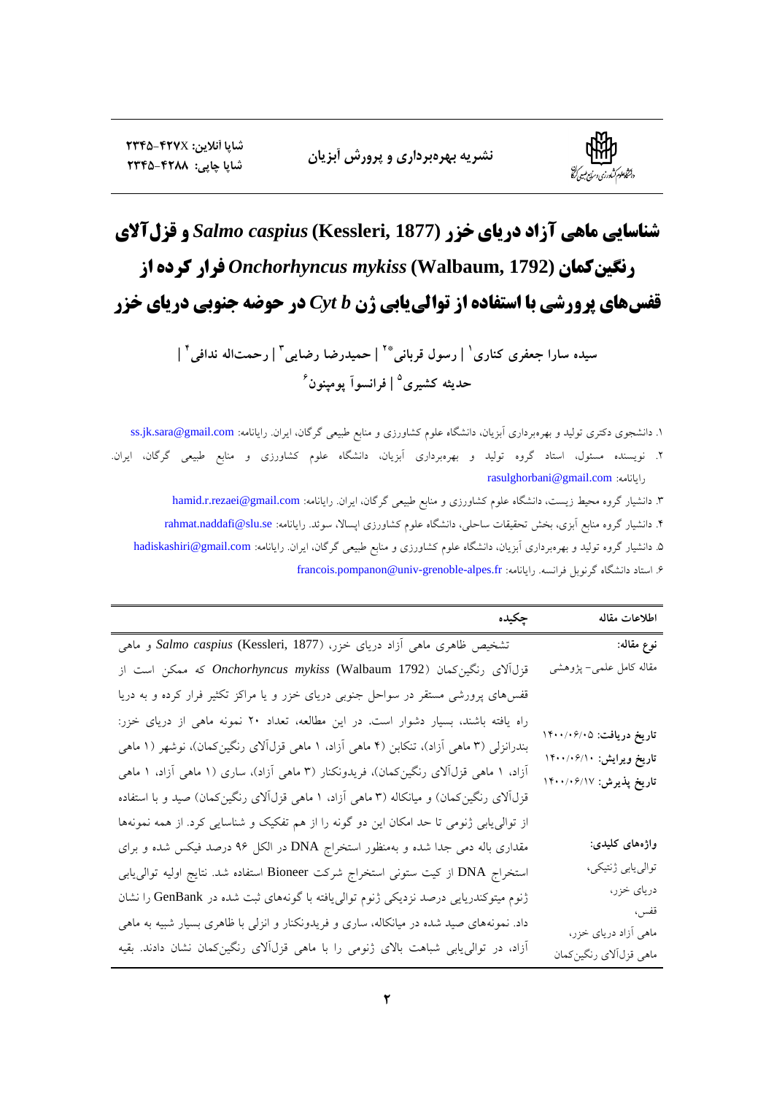

# **شناسایی ماهی آزاد دریای خزر (1877 ,Salmo caspius (Kessleri و قزلآلای روگیهکمان (1792 ,Walbaum (***mykiss Onchorhyncus* **فرار کردٌ از قفسَای پريرشی با استفادٌ از تًالییابی شن** *b Cyt* **در حًضٍ جىًبی دریای خسر**

سیده سارا جعفری کناری` | رسول قربانی\*\* | حمیدرضا رضایی<sup>۳</sup> | رحمتاله ندافی<sup>۲</sup> | حدیثه کشیری<sup>۵</sup> | فرانسواً پومپنون<sup>۶</sup>

1. دانشجوی دکتری تولید و بهرهبرداری آبزیان، دانشگاه علوم کشاورزی و منابع طبیعی گرگان، ایران. رایانامه: ss.jk.sara@gmail.com ۲. نویسنده مسئول، استاد گروه تولید و بهرهبرداری آبزیان، دانشگاه علوم کشاورزی و منابع طبیعی گرگان، ایران. [rasulghorbani@gmail.com](mailto:rasulghorbani@gmail.com) : ایانامه:

۳. دانشیار گروه محیط زیست، دانشگاه علوم کشاورزی و منابع طبیعی گرگان، ایران. رایانامه: hamid.r.rezaei@gmail.com .4 دانشيار گروه منابع آبزى، بخش تحقيقات ساحلى، دانشگاه علوم كشاورزى اپسالا، سوئد. رايانامه: rahmat.naddafi@slu.se 0. دانشیار گروه تولید و بهرهبرداری آبزیان، دانشگاه علوم کشاورزی و منابع طبیعی گرگان، ایران. رایانامه: hadiskashiri@gmail.com ۶. استاد دانشگاه گرنوبل فرانسه. رایانامه: francois.pompanon@univ-grenoble-alpes.fr

| چکیده                                                                                        | اطلاعات مقاله            |
|----------------------------------------------------------------------------------------------|--------------------------|
| تشخیص ظاهری ماهی آزاد دریای خزر، Salmo caspius (Kessleri, 1877) و ماهی                       | نوع مقاله:               |
| قزلآلای رنگینکمان (Walbaum 1792) <i>Onchorhyncus mykiss</i> (Walbaum که ممکن است از          | مقاله كامل علمى– پژوهشى  |
| قفسهای پرورشی مستقر در سواحل جنوبی دریای خزر و یا مراکز تکثیر فرار کرده و به دریا            |                          |
| راه یافته باشند، بسیار دشوار است. در این مطالعه، تعداد ۲۰ نمونه ماهی از دریای خزر:           |                          |
| بندرانزلی (۳ ماهی آزاد)، تنکابن (۴ ماهی آزاد، ۱ ماهی قزل1َلای رنگینکمان)، نوشهر (۱ ماهی      | تاريخ دريافت: ١۴٠٠/٠۶/٠٥ |
| آزاد، ۱ ماهی قزلآلای رنگینکمان)، فریدونکنار (۳ ماهی آزاد)، ساری (۱ ماهی آزاد، ۱ ماهی         | تاریخ ویرایش: ۱۴۰۰/۰۶/۱۰ |
| قزلاًلای رنگینکمان) و میانکاله (۳ ماهی اّزاد، ۱ ماهی قزلاًلای رنگینکمان) صید و با استفاده    | تاریخ پذیرش: ۱۴۰۰/۰۶/۱۷  |
| از توالی یابی ژنومی تا حد امکان این دو گونه را از هم تفکیک و شناسایی کرد. از همه نمونهها     |                          |
| مقداری باله دمی جدا شده و بهمنظور استخراج DNA در الکل ۹۶ درصد فیکس شده و برای                | واژەھاي كليدى:           |
| استخراج DNA از کیت ستونی استخراج شرکت Bioneer استفاده شد. نتایج اولیه توالیbیابی             | توالىيابى ژنتيكى،        |
| ژنوم میتوکندریایی درصد نزدیکی ژنوم توالی یافته با گونههای ثبت شده در GenBank را نشان         | درياي خزر،               |
| داد. نمونههای صید شده در میانکاله، ساری و فریدونکنار و انزلی با ظاهری بسیار شبیه به ماهی     | قفس،                     |
| آزاد، در توالی،یابی شباهت بالای ژنومی را با ماهی قزل <b>آلای رنگین</b> کمان نشان دادند. بقیه | ماهي أزاد درياي خزر،     |
|                                                                                              | ماهي قزل آلاي رنگين كمان |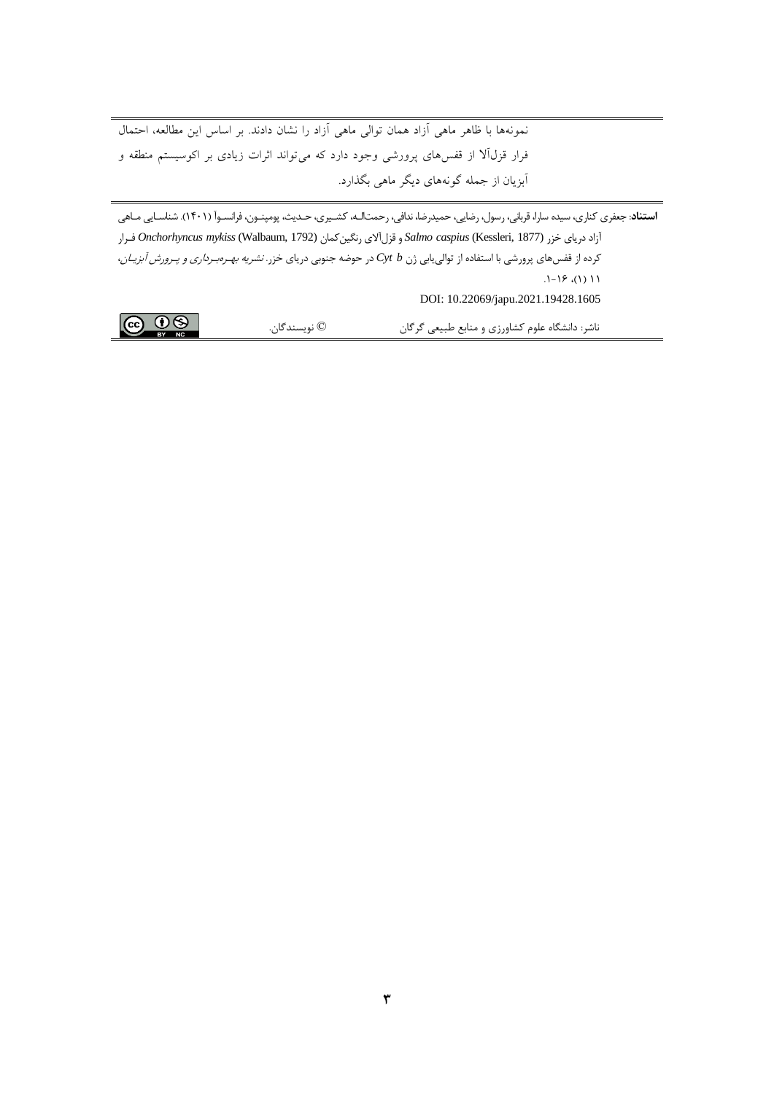.<br>نمونهها با ظاهر ماهی آزاد همان توالی ماهی آزاد را نشان دادند. بر اساس این مطالعه، احتمال فرار قزلآلا از قفسهای پرورشی وجود دارد که میتواند اثرات زیادی بر اکوسیستم منطقه و آبزیان از جمله گونههای دیگر ماهی بگذارد.

**استناد**: جعفری کناری، سیده سارا، قربانی، رسول، رضایی، حمیدرضا، ندافی، رحمتالـه، کشـیری، حـدیث، پومپنـون، فرانسـوآ (۱۴۰۱). شناسـایی مـاهی زاد دریای خسر (1877 ,Kessleri (*caspius Salmo* و قسل الی رنگینکما (1792 ,Walbaum (*mykiss Onchorhyncus* فهرار کرده از قفسهای پرورشی با استفاده از توالی بابی ژن Cyt b در حوضه جنوبی دریای خزر. *نشریه بهـرهبـرداری و پـرورش آبزیـان*،  $.1 - 19$  (1) 11 DOI: 10.22069/japu.2021.19428.1605

 $\overline{w}$   $\overline{w}$ ناشر: دانشگاه علوم کشاورزی و منابع طبیعی گرگا © نویسندگا .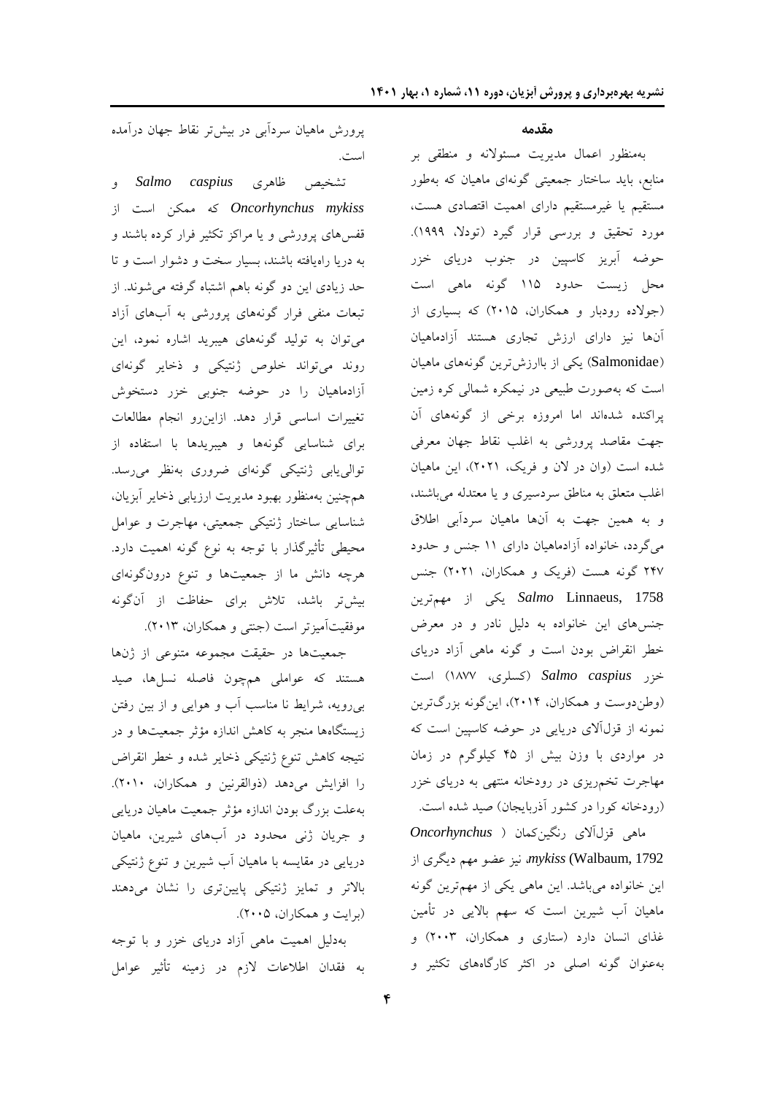**مقدمٍ**

بهمنظور اعمال مدیریت مسئولانه و منطقی بر منابع، باید ساختار جمعیتی گونهای ماهیان که بهطور مستقيم یا غیرمستقیم داراي اهميت اقتصادي هست، مورد تحقیق و بررسی قرار گیرد (تودلا، ۱۹۹۹). حوضه آبریز کاسپین در جنوب دریای خزر محل زیست حدود ۱۱۵ گونه ماهی است (جولاده رودبار و همکاران، ۲۰۱۵) که بسیاری از آنها نیز داراي ارزش تجاري هستند آزادماهيان (Salmonidae) یکی از باارزش ترین گونههای ماهیان است که بهصورت طبیعی در نیمکره شمالی کره زمین پراکنده شدهاند اما امروزه برخی از گونههای آن جهت مقاصد پرورشی به اغلب نقاط جهان معرفی شده است (وان در لان و فریک، ۲۰۲۱)، این ماهیان اغلب متعلق به مناطق سردسیری و یا معتدله میباشند، و به همین جهت به آنها ماهیان سردآبی اطلاق می گردد، خانواده آزادماهيان دارای ١١ جنس و حدود ۲۴۷ گونه هست (فریک و همکاران، ۲۰۲۱) جنس 1758 ,Linnaeus *Salmo* یىی اظ ٟٔٓتطیٗ جنس های این خانواده به دلیل نادر و در معرض خطر انقراض بودن است و گونه ماهی آزاد دریای ذعض *caspius Salmo*( وؿّطي، 1877( اؾت (وطن دوست و همکاران، ۲۰۱۴)، این گونه بزرگترین نمونه از قزلآلای دریایی در حوضه کاسپین است که در مواردي با وزن بيش از ۴۵ كيلوگرم در زمان مهاجرت تخمریزی در رودخانه منتهی به دریای خزر (رودخانه كورا در كشور آذربایجان) صید شده است.

ٔبٞی لعَآالي ضٍ٘یٗوٕبٖ ) *Oncorhynchus* نیز عضو مهم دیگری از *mykiss* (Walbaum, 1792 این خانواده میباشد. این ماهی یکی از مهمترین گونه ماهیان آب شیرین است که سهم بالایی در تأمین غذاي انسان دارد (ستاري و همكاران، ٢٠٠٣) و به عنوان گونه اصلی در اکثر کارگاههای تکثیر و

پرورش ماهیان سردآبی در بیش $\zeta$ ب نظاط جهان درآمده است.

تكریم ؽبٞطي *caspius Salmo* ٚ *Dncorhynchus mykiss* که ممکن است از قفس های پرورشی و یا مراکز تکثیر فرار کرده باشند و به دریا راهیافته باشند، بسیار سخت و دشوار است و تا حد زیادی این دو گونه باهم اشتباه گرفته می شوند. از تبعات منفی فرار گونههای پرورشی به آبهای آزاد می توان به تولید گونههای هیبرید اشاره نمود، این روند می تواند خلوص ژنتیکی و ذخایر گونهای آزادماهیان را در حوضه جنوبی خزر دستخوش تغییرات اساسی قرار دهد. ازاین٫و انجام مطالعات برای شناسایی گونهها و هیبریدها با استفاده از توالی یابی ژنتیکی گونهای ضروری بهنظر میرسد. همچنین بهمنظور بهبود مدیریت ارزیابی ذخایر آبزیان، شناسایی ساختار ژنتیکی جمعیتی، مهاجرت و عوامل محیطی تأثیرگذار با توجه به نوع گونه اهمیت دارد. هرچه دانش ما از جمعیتها و تنوع درونگونهاي بیشتر باشد، تلاش برای حفاظت از آنگونه موفقیتآمیزتر است (جنتی و همکاران، ۲۰۱۳).

جمعیتها در حقیقت مجموعه متنوعی از ژنها هستند که عواملی همچون فاصله نسلها، صید بی رویه، شرایط نا مناسب آب و هوایی و از بین رفتن زیستگاهها منجر به کاهش اندازه مؤثر جمعیتها و در نتیجه کاهش تنوع ژنتیکی ذخایر شده و خطر انقراض را افزایش میدهد (ذوالقرنین و همکاران، ۲۰۱۰). به علت بزرگ بودن اندازه مؤثر جمعیت ماهیان دریایی و جریان ژنی محدود در آبهای شیرین، ماهیان دریایی در مقایسه با ماهیان آب شیرین و تنوع ژنتیکی بالاتر و تمایز ژنتیكی پایین تری را نشان می دهند (برایت و همکاران، ۲۰۰۵).

بهدلیل اهمیت ماهی آزاد دریای خزر و با توجه به فقدان اطلاعات لازم در زمینه تأثیر عوامل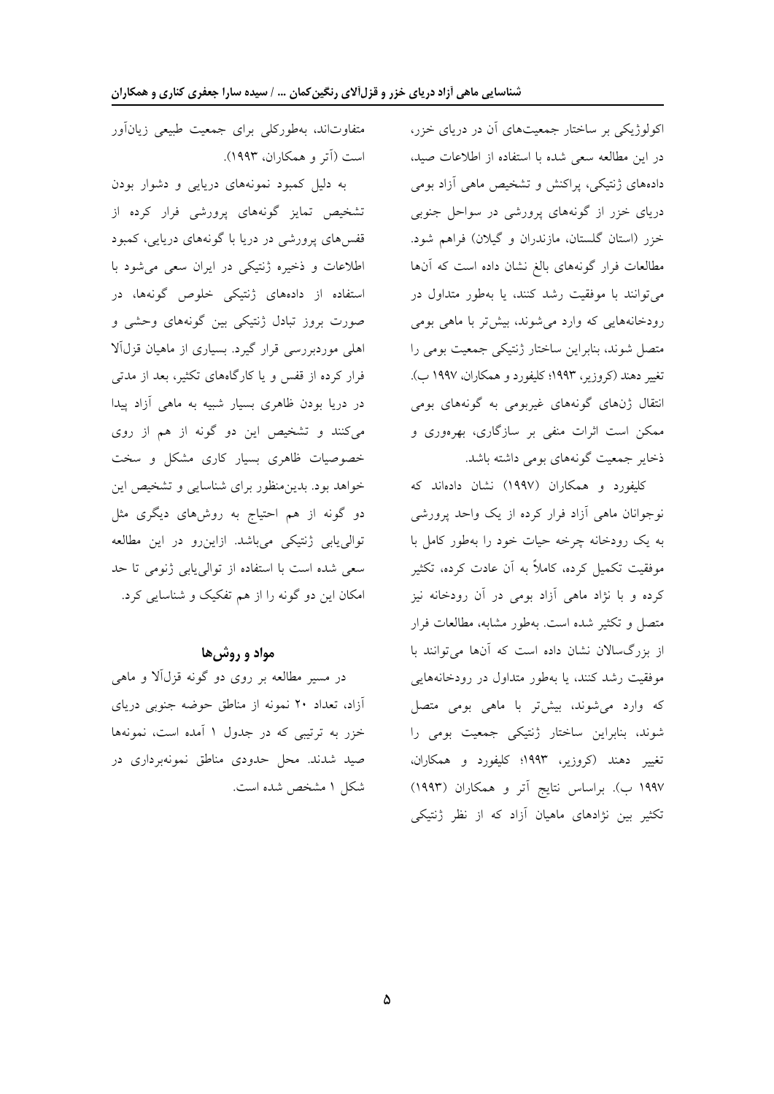اکولوژیکی بر ساختار جمعیتهای آن در دریای خزر، در این مطالعه سعی شده با استفاده از اطلاعات صید، دادههای ژنتیكی، پراكنش و تشخیص ماهی آزاد بومی دریای خزر از گونههای پرورشی در سواحل جنوبی خزر (استان گلستان، مازندران و گیلان) فراهم شود. مطالعات فرار گونههای بالغ نشان داده است كه آنها میتوانند با موفقیت رشد کنند، یا بهطور متداول در رودخانههایی که وارد میشوند، بیشتر با ماهی بومی متصل شوند، بنابراین ساختار ژنتیکی جمعیت بومی را تغییر دهند (کروزیر، ۱۹۹۳؛ کلیفورد و همکاران، ۱۹۹۷ ب). انتقال ژنهای گونههای غیربومی به گونههای بومی ممکن است اثرات منفی بر سازگاری، بهرهوری و ذخاير جمعيت گونههاي بومي داشته باشد.

کلیفورد و همکاران (۱۹۹۷) نشان دادهاند که نوجوانان ماهی آزاد فرار کرده از یک واحد پرورشی به یک رودخانه چرخه حیات خود را بهطور کامل با موفقیت تکمیل کرده، کاملاً به آن عادت کرده، تکثیر کرده و با نژاد ماهی آزاد بومی در آن رودخانه نیز متصل و تكثیر شده است. بهطور مشابه، مطالعات فرار از بزرگسالان نشان داده است كه آنها می توانند با موفقیت رشد کنند، یا بهطور متداول در رودخانههایی که وارد می شوند، بیشتر با ماهی بومی متصل شوند، بنابراین ساختار ژنتیکی جمعیت بومی را تغییر دهند (کروزیر، ۱۹۹۳؛ کلیفورد و همکاران، ۱۹۹۷ ب). براساس نتایج آتر و همکاران (۱۹۹۳) تکثیر بین نژادهای ماهیان آزاد که از نظر ژنتیکی

متفاوتاند، بهطورکلی برای جمعیت طبیعی زیانآور است (آتر و همکاران، ۱۹۹۳).

به دلیل کمبود نمونههای دریایی و دشوار بودن تشخیص تمایز گونههای پرورشی فرار کرده از قفسهای پرورشی در دریا با گونههای دریایی، کمبود اطلاعات و ذخیره ژنتیکی در ایران سعی می شود با استفاده از دادههاى ژنتيكى خلوص گونهها، در صورت بروز تبادل ژنتیكی بين گونههای وحشی و اهلی موردبررسی قرار گیرد. بسیاری از ماهیان قزل آلا فرار کرده از قفس و یا کارگاههای تکثیر، بعد از مدتی در دریا بودن ظاهری بسیار شبیه به ماهی آزاد پیدا میکنند و تشخیص این دو گونه از هم از روی خصوصيات ظاهري بسيار كاري مشكل و سخت خواهد بود. بدین منظور برای شناسایی و تشخیص این دو گونه از هم احتياج به روشهاى ديگرى مثل توالی یابی ژنتیکی میباشد. ازاین رو در این مطالعه سعی شده است با استفاده از توالی پابی ژنومی تا حد امکان این دو گونه را از هم تفکیک و شناسایی کرد.

#### **مواد و روش ها**

در مسير مطالعه بر روی دو گونه قزلآلا و ماهي آزاد، تعداد ۲۰ نمونه از مناطق حوضه جنوبی دریای خزر به ترتیبی که در جدول ۱ آمده است، نمونهها صيد شدند. محل حدودي مناطق نمونهبرداري در شكل ۱ مشخص شده است.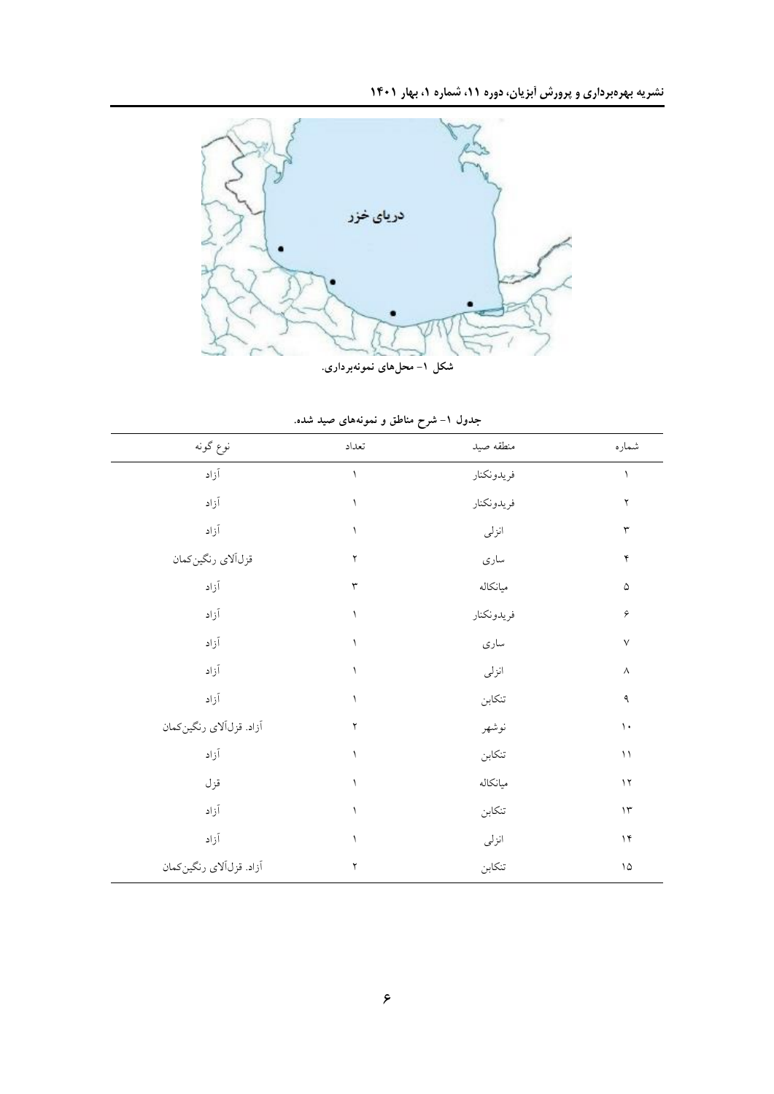

**جديل -1 ضزح مىاطق ي ومًوٍَای صید ضد.ٌ**

| نوع گونه                  | تعداد        | منطقه صيد  | شماره                     |
|---------------------------|--------------|------------|---------------------------|
| آزاد                      | ١            | فريدونكنار | ١                         |
| آزاد                      | ١            | فريدونكنار | ٢                         |
| آزاد                      | $\lambda$    | انزلى      | $\mathsf{r}$              |
| قزل آلاي رنگين كمان       | $\mathsf{r}$ | سارى       | ۴                         |
| آزاد                      | $\mathsf{r}$ | ميانكاله   | ۵                         |
| آزاد                      | $\lambda$    | فريدونكنار | ۶                         |
| آزاد                      | ١            | سارى       | $\lor$                    |
| آزاد                      | $\lambda$    | انزلى      | $\wedge$                  |
| آزاد                      | $\lambda$    | تنكابن     | ٩                         |
| آزاد. قزل آلاي رنگين كمان | $\mathsf{r}$ | نوشهر      | $\mathcal{N}$             |
| آزاد                      | $\lambda$    | تنكابن     | $\backslash$ $\backslash$ |
| قزل                       | $\lambda$    | ميانكاله   | $\mathcal{N}$             |
| آزاد                      | ١            | تنكابن     | $\backslash \Upsilon$     |
| آزاد                      | $\lambda$    | انزلى      | $\mathcal{N}$             |
| آزاد. قزل آلاي رنگين كمان | ٢            | تنكابن     | $\backslash \mathcal{Q}$  |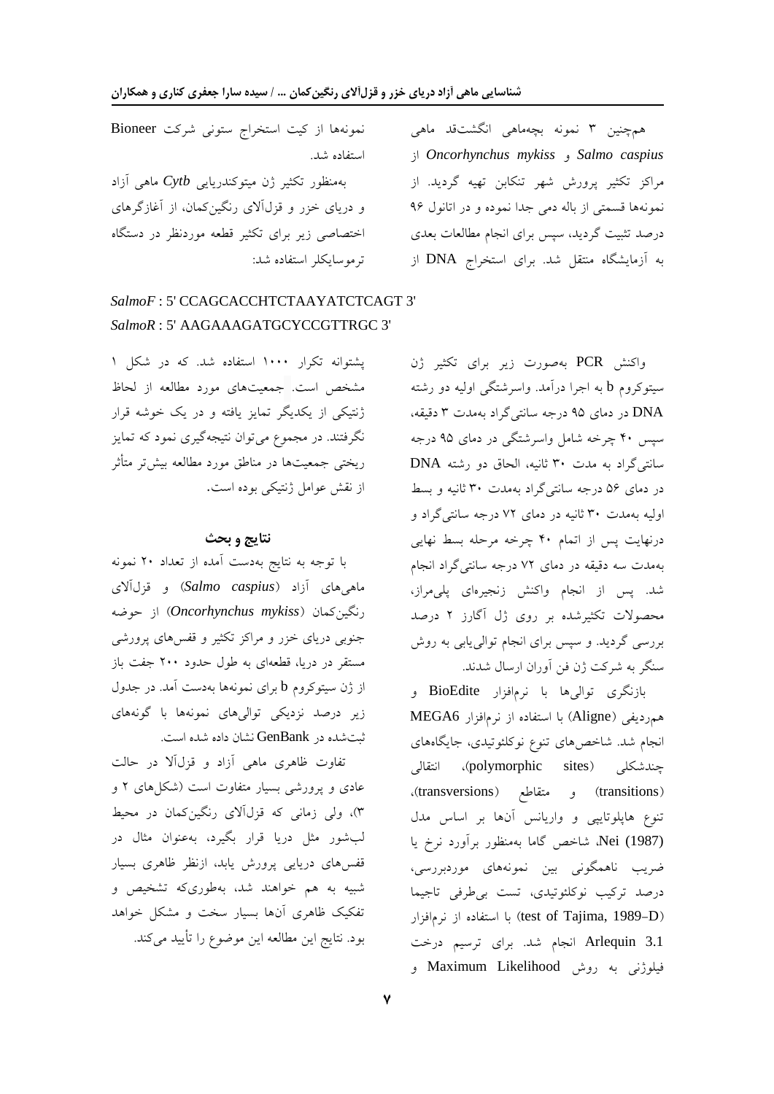همچنین ۳ نمونه بچهماهی انگشتقد ماهی اظ *Oncorhynchus mykiss* ٚ *Salmo caspius* مراکز تکثیر پرورش شهر تنکابن تهیه گردید. از نمونهها قسمتی از باله دمی جدا نموده و در اتانول ۹۶ درصد تثبیت گردید، سپس براي انجام مطالعات بعدي به آزمايشگاه منتقل شد. براى استخراج DNA از

استفاده شد. بهمنظور تکثیر ژن میتوکندریایی *Cytb* ماهی آزاد و درياي خزر و قزل1َلاي رنگينِکمان، از آغازگرهاي

نمونهها از کیت استخراج ستونی شرکت Bioneer

اختصاصی زیر برای تکثیر قطعه موردنظر در دستگاه ترموسایکلر استفاده شد:

### *SalmoF* : 5' CCAGCACCHTCTAAYATCTCAGT 3' *SalmoR* : 5' AAGAAAGATGCYCCGTTRGC 3'

يشتوانه تكرار ١٠٠٠ استفاده شد. كه در شكل ١ مشخص است. جمعیتهای مورد مطالعه از لحاظ ژنتیکی از یکدیگر تمایز یافته و در یک خوشه قرار نگرفتند. در مجموع میٍتوان نتیجه گیری نمود که تمایز ریختی جمعیتها در مناطق مورد مطالعه بیشتر متأثر از نقش عوامل ژنتیکی بوده است.

#### **وتایج ي بحث**

با توجه به نتایج بهدست آمده از تعداد ۲۰ نمونه ٔبٞیٞبي آظاز )*caspius Salmo* )ٚ لعَآالي رنگین کمان *(Oncorhynchus mykiss)* از حوضه جنوبی دریای خزر و مراکز تکثیر و قفسهای پرورشی مستقر در دریا، قطعهای به طول حدود ۲۰۰ جفت باز از ژن سیتوکروم b برای نمونهها بهدست آمد. در جدول زير درصد نزديكي تواليهاى نمونهها با گونههاى ثبت شده در GenBank نشان داده شده است.

تفاوت ظاهري ماهي آزاد و قزلآلا در حالت عادی و پرورشی بسيار متفاوت است (شكلهای ۲ و ۳)، ولی زمانی که قزل آلای رنگینکمان در محیط لب شور مثل دریا قرار بگیرد، به عنوان مثال در قفس های دريايی پرورش يابد، ازنظر ظاهری بسيار شبیه به هم خواهند شد، بهطوری كه تشخیص و تفکیک ظاهری آنها بسیار سخت و مشکل خواهد بود. نتایج این مطالعه این موضوع را تأیید میکند.

واکنش PCR بهصورت زیر برای تکثیر ژن سیتوکروم b به اجرا درآمد. واسرشتگی اولیه دو رشته DNA در دمای ۹۵ درجه سانتی گراد بهمدت ۳ دقیقه، سپس ۴۰ چرخه شامل واسرشتگی در دمای ۹۵ درجه سانتی گراد به مدت ۳۰ ثانیه، الحاق دو رشته DNA در دمای ۵۶ درجه سانتیگراد بهمدت ۳۰ ثانیه و بسط اولیه بهمدت ۳۰ ثانیه در دمای ۷۲ درجه سانتی گراد و درنهایت پس از اتمام ۴۰ چرخه مرحله بسط نهایی بهمدت سه دقیقه در دمای ۷۲ درجه سانتی گراد انجام شد. پس از انجام واکنش زنجیرهای پلی مراز، محصولات تكثیرشده بر روى ژل آگارز ۲ درصد بررسی گردید. و سپس برای انجام توالییابی به روش سنگر به شرکت ژن فن آوران ارسال شدند.

بازنگري تواليها با نرمافزار BioEdite و همردیفی (Aligne) با استفاده از نرمافزار MEGA6 انجام شد. شاخصهای تنوع نوکلئوتیدی، جایگاههای چندشكلی (polymorphic sites)، انتقالی (transitions) و متقاطع (transversions)، تنوع هاپلوتایپی و واریانس آنها بر اساس مدل (1987) Nei، شاخص گاما بهمنظور برآورد نرخ یا ضریب ناهمگونی بين نمونههای موردبررسی، درصد ترکیب نوکلئوتیدی، تست بی طرفی تاجیما با استفاده از نرمافزار (test of Tajima, 1989–D) 4.1 Arlequin انجام شد. برای ترسیم درخت فیلوژنی به روش Maximum Likelihood و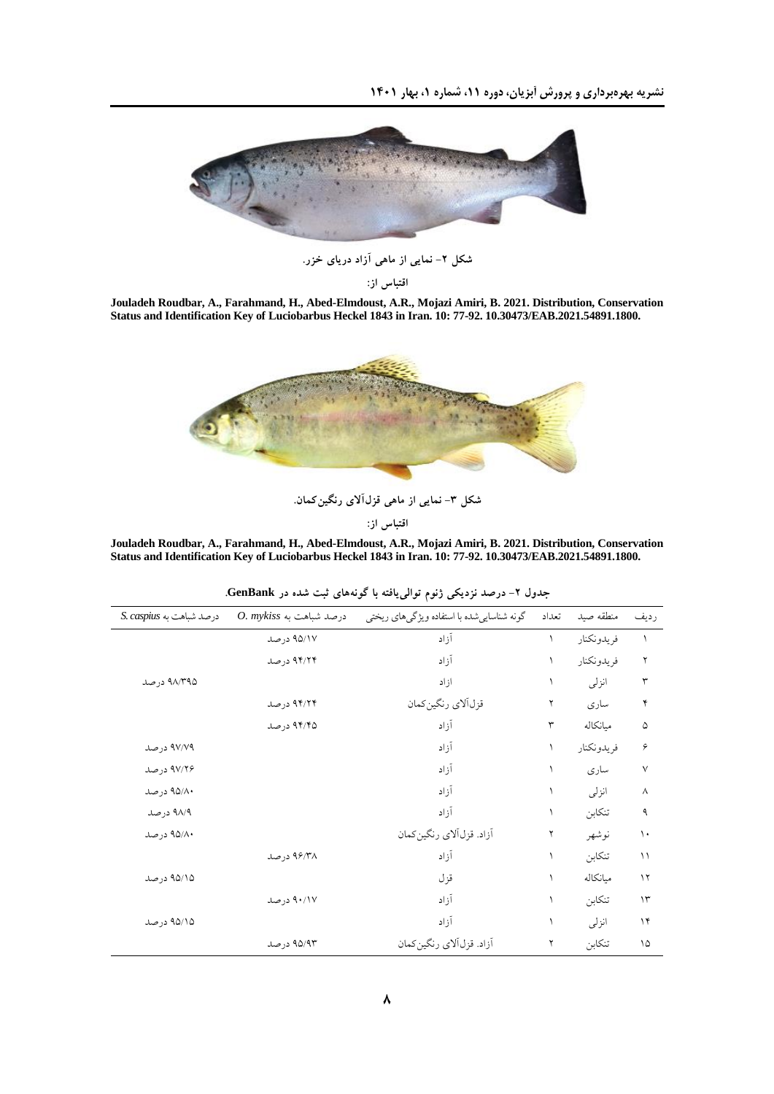

**ضکل -2 ومایی اس ماَی آساد دریای خشر.**

اقتباس از:

**Jouladeh Roudbar, A., Farahmand, H., Abed-Elmdoust, A.R., Mojazi Amiri, B. 2021. Distribution, Conservation Status and Identification Key of Luciobarbus Heckel 1843 in Iran. 10: 77-92. 10.30473/EAB.2021.54891.1800.**



**ضکل -3 ومایی اس ماَی قشلآالی روگیهکمان.** اقتباس از:

**Jouladeh Roudbar, A., Farahmand, H., Abed-Elmdoust, A.R., Mojazi Amiri, B. 2021. Distribution, Conservation Status and Identification Key of Luciobarbus Heckel 1843 in Iran. 10: 77-92. 10.30473/EAB.2021.54891.1800.**

| ╯<br>بطلوحا والمستسرعية عي رس المرضي في المستعمد |                           |                                           |           |            |               |  |
|--------------------------------------------------|---------------------------|-------------------------------------------|-----------|------------|---------------|--|
| درصد شباهت به S. caspius                         | $O.$ mykiss درصد شباهت به | گونه شناساییشده با استفاده ویژگیهای ریختی | تعداد     | منطقه صيد  | رديف          |  |
|                                                  | ۹۵/۱۷ درصد                | آزاد                                      | ١         | فريدونكنار | ١             |  |
|                                                  | ۹۴/۲۴ درصد                | آزاد                                      | $\lambda$ | فريدونكنار | ٢             |  |
| ۹۸/۳۹۵ درصد                                      |                           | ازاد                                      | ١         | انزلى      | ٣             |  |
|                                                  | ۹۴/۲۴ درصد                | قزل آلاي رنگين كمان                       | ٢         | سارى       | ۴             |  |
|                                                  | ۹۴/۴۵ درصد                | آزاد                                      | ٣         | ميانكاله   | ۵             |  |
| ۹۷/۷۹ درصد                                       |                           | آزاد                                      | ١         | فريدونكنار | ۶             |  |
| ۹۷/۲۶ درصد                                       |                           | آزاد                                      | ١         | سارى       | $\lor$        |  |
| ۹۵/۸۰ درصد                                       |                           | آزاد                                      |           | انزلى      | $\wedge$      |  |
| ۹۸/۹ درصد                                        |                           | آزاد                                      |           | تنكابن     | ٩             |  |
| ۹۵/۸۰ درصد                                       |                           | أزاد. قزل آلاي رنگين كمان                 | ٢         | نوشهر      | $\mathcal{L}$ |  |
|                                                  | ۹۶/۳۸ درصد                | آزاد                                      | ١         | تنكابن     | ۱۱            |  |
| ۹۵/۱۵ درصد                                       |                           | قزل                                       |           | ميانكاله   | $\gamma$      |  |
|                                                  | ۹۰/۱۷ درصد                | آزاد                                      | ١         | تنكابن     | ۱۳            |  |
| ۹۵/۱۵ درصد                                       |                           | آزاد                                      |           | انزلى      | ۱۴            |  |
|                                                  | ۹۵/۹۳ درصد                | آزاد. قزل آلاي رنگين كمان                 | ٢         | تنكابن     | ۱۵            |  |

**جديل -2 درصد وشدیکی صوًم تًالییافتٍ با گًوٍَای ثبت ضدٌ در GenBank.**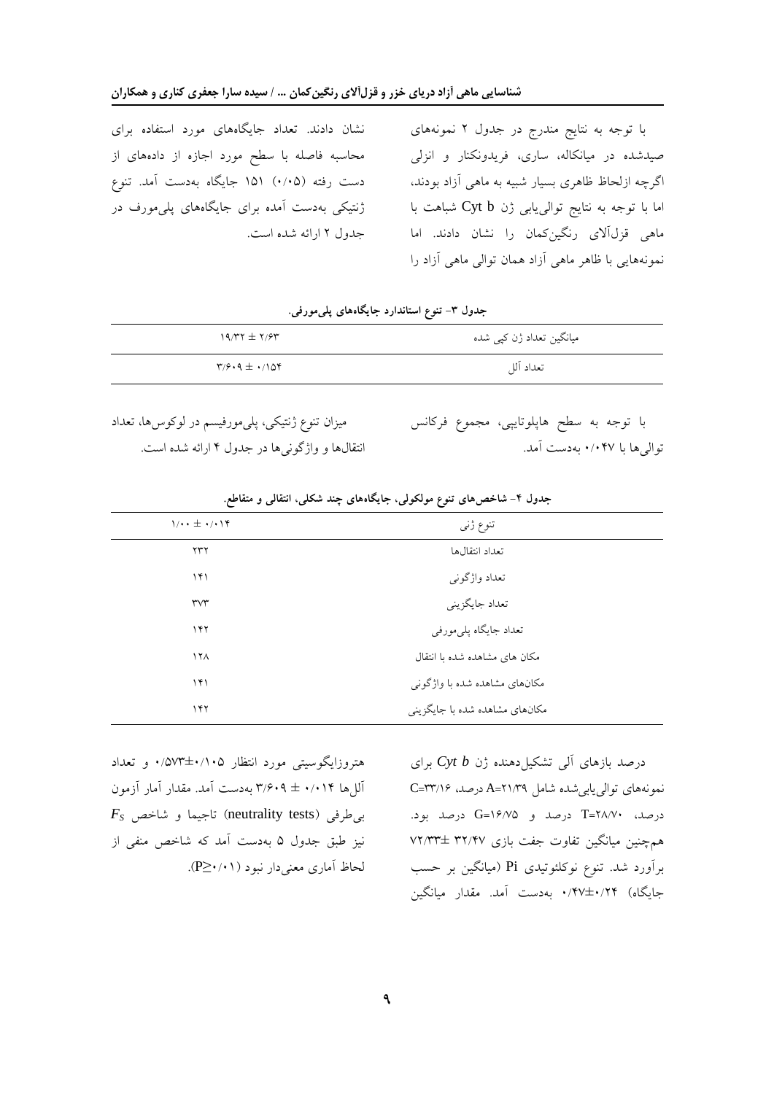نشان دادند. تعداد جايگاههاى مورد استفاده براى محاسبه فاصله با سطح مورد اجازه از دادههاى از دست رفته (۰/۰۵) ۱۵۱ جایگاه بهدست آمد. تنوع ژنتیکی بهدست آمده برای جایگاههای پلیمورف در جدول ٢ ارائه شده است.

با توجه به نتايج مندرج در جدول ٢ نمونههاى صیدشده در میانکاله، ساری، فریدونکنار و انزلی اگرچه ازلحاظ ظاهری بسیار شبیه به ماهی آزاد بودند، اما با توجه به نتایج توالی یابی ژن Cyt b شباهت با ماهی قزلآلای رنگینِکمان را نشان دادند. اما نمونههایی با ظاهر ماهی آزاد همان توالی ماهی آزاد را

جدول ۳- تنوع استاندارد جایگاههای پل*ی مو*رف*ی*.

| $19/77 \pm 7/97$ |                                              | میانگین تعداد ژن کپی شده            |
|------------------|----------------------------------------------|-------------------------------------|
|                  | $\Gamma/9.9 \pm ./105$                       | تعداد آلل                           |
|                  | یہ ان تنبہ ثنا کے بیان میں فیصل کی حمل تعلید | یا تصدید ملے مالیا تار پیمیزہ مکانا |

میزان تنوع ژنتیکی، پلیمورفیسم در لوکوسها، تعداد انتقال ها و واژگونی ها در جدول ۴ ارائه شده است. با توجه به سطح هاپلوتایپی، مجموع فرکانس توالی ها با ۰/۰۴۷ به دست آمد.

| $1/\cdots \pm \cdot/\cdot 14$    | تنوع ژنی                       |  |
|----------------------------------|--------------------------------|--|
| ۲۳۲                              | تعداد انتقالها                 |  |
| ۱۴۱                              | تعداد واژگونی                  |  |
| $\mathsf{r}\mathsf{v}\mathsf{r}$ | تعداد جايگزيني                 |  |
| ۱۴۲                              | تعداد جايگاه پليمورفي          |  |
| 17 <sub>A</sub>                  | مكان هاى مشاهده شده با انتقال  |  |
| ۱۴۱                              | مکانهای مشاهده شده با واژگونی  |  |
| ۱۴۲                              | مکانهای مشاهده شده با جایگزینی |  |
|                                  |                                |  |

جدول ۴– شاخص های تنوع مولکولی، جایگاههای چند شکلی، انتقالی و متقاطع.

هتروزایگوسیتی مورد انتظار ۰/۵۷۳±۰/۱۰۵ و تعداد آلم ها ۰/۰۱۴  $\ast$  7/۶۰۹ به دست آمد. مقدار آمار آزمون  $F_S$  بی طرفی (neutrality tests) تاجیما و شاخص نیز طبق جدول ۵ بهدست آمد که شاخص منفی از لحاظ آماری معنیدار نبود (۰/۱). (P≥۰/۰۱).

درصد بازهای آل<sub>ی</sub> تشكیلِ دهنده ژن Cyt b برای نمونههای توالی یابیشده شامل ۴۱/۳۹=A درصد، 7۳/۱۶ درصل، ۲۸/۷۰=T درصد و G=۱۶/۷۵ درصد بود. همچنین میانگین تفاوت جفت بازی ۳۲/۴۷ ±۷۲/۳۳ برآورد شد. تنوع نوکلئوتیدی Pi(میانگین بر حسب جایگاه) ۲۴/+±۰/۲۷ بهدست آمد. مقدار میانگین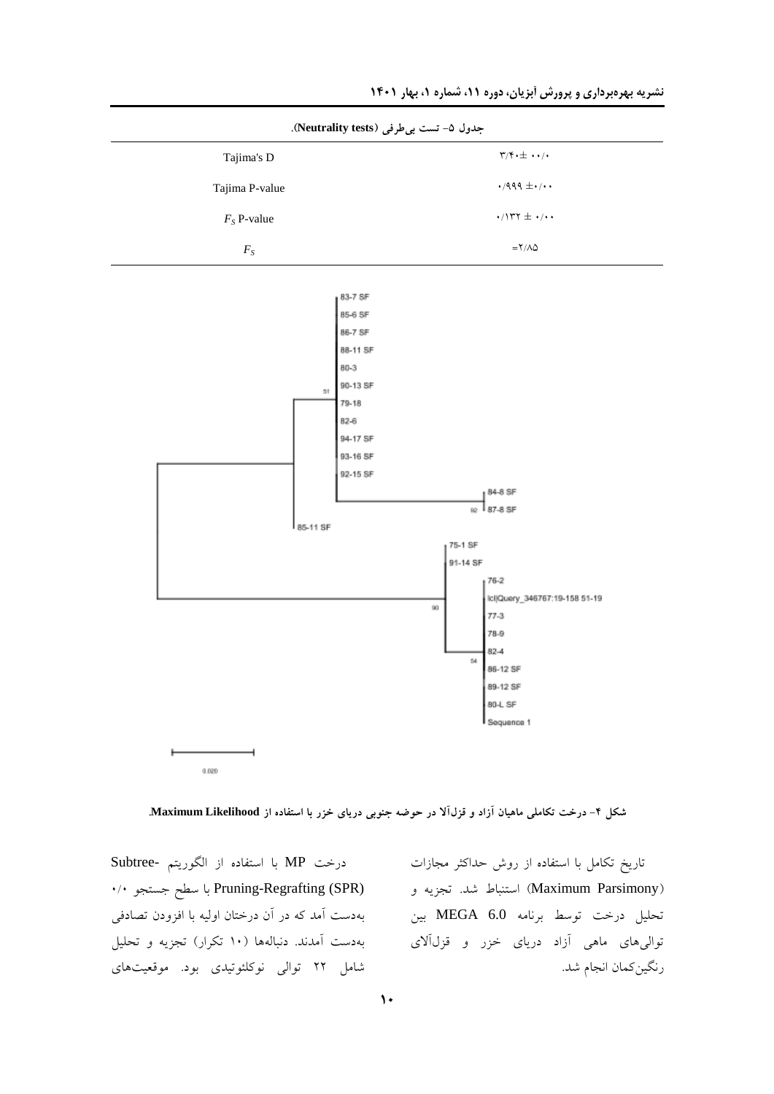

**ضکل -4 درخت تکاملی ماَیان آساد ي قشلآال در حًضٍ جىًبی دریای خشر با استفادٌ اس Likelihood Maximum.** 

توالی های ماهی ازاد دریای خزر و قزلالای مسلم بهدست امدند. دنبالهها (۱۰ تکرار) تجزیه و تحلیل درخت MP با استفاده از الگوریتم -Subtree (SPR (Regrafting-Pruning ثب ؾغح خؿتدٛ 0/0 بهدست امد که در آن درختان اولیه با افزودن تصادفی شامل ٢٢ توالی نوكلئوتیدی بود. موقعیتهای

تاریخ تکامل با استفاده از روش حداکثر مجازات (Maximum Parsimony) استنباط شد. تجزیه و تحلیل درخت توسط برنامه MEGA 6.0 بین رنگینِ کمان انجام شد.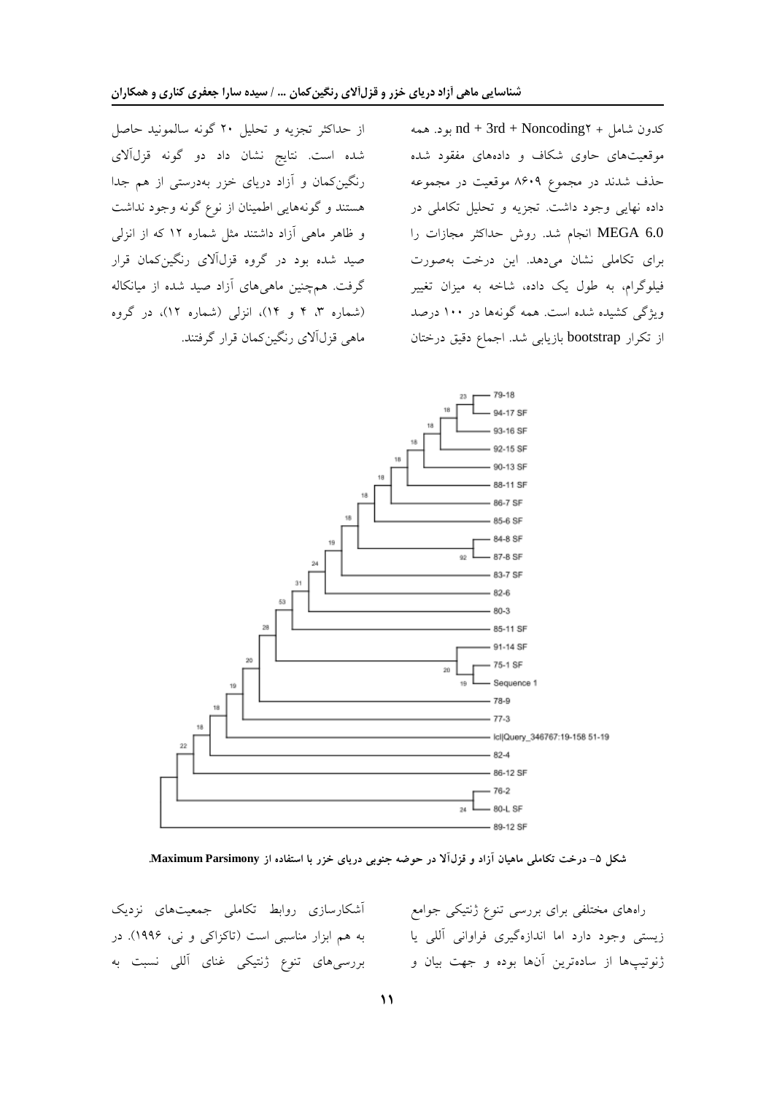از حداکثر تجزیه و تحلیل ۲۰ گونه سالمونید حاصل شده است. نتایج نشان داد دو گونه قزلآلای رنگینِکمان و آزاد دریای خزر بهدرستی از هم جدا هستند و گونههایی اطمینان از نوع گونه وجود نداشت و ظاهر ماهی آزاد داشتند مثل شماره ۱۲ که از انزلی صید شده بود در گروه قزلآلای رنگینکمان قرار گرفت. همچنین ماهیِهای آزاد صید شده از میانکاله (شماره ۳، ۴ و ۱۴)، انزلی (شماره ۱۲)، در گروه ماهی قزل آلای رنگین کمان قرار گرفتند.

کدون شامل + 1 nd + 3rd + Noncoding بود. همه موقعیتهای حاوی شکاف و دادههای مفقود شده حذف شدند در مجموع ۸۶۰۹ موقعیت در مجموعه داده نهایی وجود داشت. تجزیه و تحلیل تکاملی در 6.0 MEGA انجام شد. روش حداکثر مجازات را برای تكاملی نشان می دهد. این درخت بهصورت فیلوگرام، به طول یک داده، شاخه به میزان تغییر ویژگی کشیده شده است. همه گونهها در ۱۰۰ درصد از تكرار bootstrap بازيابي شد. اجماع دقيق درختان



شکل ۵– درخت تکاملی ماهیان آزاد و قزل**آلا در حوضه جنوبی دریای خزر با استفاده** از Maximum Parsimony.

آشكارسازی روابط تكاملی جمعیتهای نزدیک به هم ابزار مناسبی است (تاکزاکی و نی، ۱۹۹۶). در بررسیهای تنوع ژنتیکی غنای آللی نسبت به

راههای مختلفی برای بررسی تنوع ژنتیکی جوامع زیستی وجود دارد اما اندازهگیری فراوانی آللی یا ژنوتیپها از سادهترین آنها بوده و جهت بیان و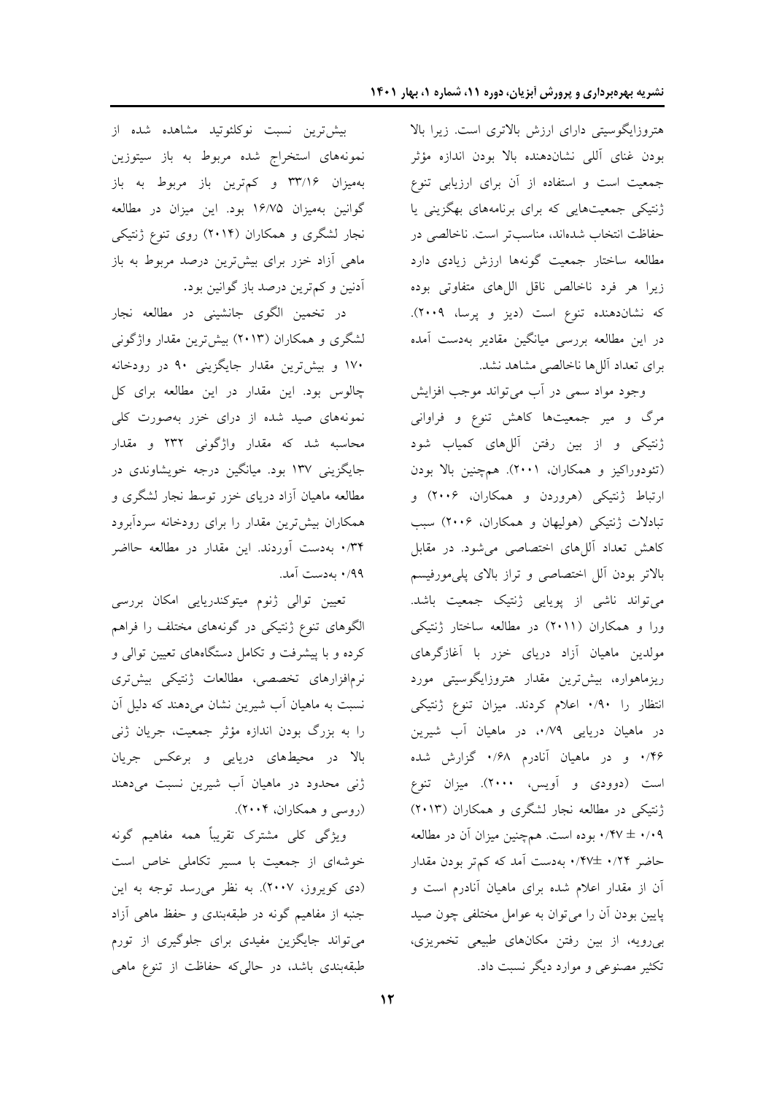هتروزايگوسيتی دارای ارزش بالاتری است. زيرا بالا بودن غنای آللی نشاندهنده بالا بودن اندازه مؤثر جمعیت است و استفاده از آن برای ارزیابی تنوع ژنتیکی جمعیتهایی که برای برنامههای بهگزینی یا حفاظت انتخاب شدهاند، مناسبتر است. ناخالصی در مطالعه ساختار جمعیت گونهها ارزش زیادی دارد زیرا هر فرد ناخالص ناقل اللهای متفاوتی بوده كه نشاندهنده تنوع است (دیز و پرسا، ٢٠٠٩). در این مطالعه بررسی میانگین مقادیر بهدست آمده برای تعداد آللها ناخالصی مشاهد نشد.

وجود مواد سمی در آب میتواند موجب افزایش مرگ و مير جمعيتها كاهش تنوع و فراواني ژنتیکی و از بین رفتن آللهای کمیاب شود (تئودوراکیز و همکاران، ۲۰۰۱). همچنین بالا بودن ارتباط ژنتیکی (هروردن و همکاران، ۲۰۰۶) و تبادلات ژنتیکی (هولیهان و همکاران، ۲۰۰۶) سبب کاهش تعداد آللهای اختصاصی می شود. در مقابل بالاتر بودن آلل اختصاصی و تراز بالای پلی مورفیسم می تواند ناشی از پویایی ژنتیک جمعیت باشد. ورا و همکاران (۲۰۱۱) در مطالعه ساختار ژنتیکی مولدين ماهيان آزاد درياي خزر با آغازگرهاي ریزماهواره، بیش ترین مقدار هتروزایگوسیتی مورد انتظار را ۰/۹۰ اعلام کردند. میزان تنوع ژنتیکی ذر ماهیان دریایی ۰/۷۹، در ماهیان آب شیرین ۰/۴۶ و در ماهیان آنادرم ۰/۶۸ گزارش شده است (دوودي و آويس، ٢٠٠٠). ميزان تنوع ژنتیکی در مطالعه نجار لشگری و همکاران (۲۰۱۳) ۰/۰۹ ± ۰/۴۷ بوده است. همچنین میزان آن در مطالعه حاضر ۷۴۴+ ±۰/۴۷ بهدست آمد که کم تر بودن مقدار آن از مقدار اعلام شده برای ماهیان آنادرم است و پایین بودن آن را میتوان به عوامل مختلفی چون صید بیرویه، از بین رفتن مكانهای طبیعی تخمریزی، تکثیر مصنوعی و موارد دیگر نسبت داد.

بیش ترین نسبت نوكلئوتید مشاهده شده از نمونههای استخراج شده مربوط به باز سیتوزین بهمیزان ۳۳/۱۶ و کمترین باز مربوط به باز گوانین بهمیزان ۱۶/۷۵ بود. این میزان در مطالعه نجار لشگری و همکاران (۲۰۱۴) روی تنوع ژنتیکی ماهی آزاد خزر برای بیشترین درصد مربوط به باز آدنین و کم ترین درصد باز گوانین بود.

در تخمین الگوی جانشینی در مطالعه نجار لشگری و همکاران (۲۰۱۳) بیشترین مقدار واژگونی ۱۷۰ و بیش ترین مقدار جایگزینی ۹۰ در رودخانه چالوس بود. این مقدار در این مطالعه برای کل نمونههای صید شده از درای خزر بهصورت کلی محاسبه شد که مقدار واژگونی ۲۳۲ و مقدار جایگزینی ۱۳۷ بود. میانگین درجه خویشاوندی در مطالعه ماهيان آزاد درياي خزر توسط نجار لشگري و همکاران بیشترین مقدار را برای رودخانه سردآبرود 0/34 ثٝزؾت آٚضز٘س. ایٗ ٔمساض زض ٔغبِقٝ حباضط ۹۹/۰ به دست آمد.

تعیین توالی ژنوم میتوکندریایی امکان بررسی الگوهای تنوع ژنتیکی در گونههای مختلف را فراهم کرده و با پیشرفت و تکامل دستگاههای تعیین توالی و نرمافزارهای تخصصی، مطالعات ژنتیکی بیشتری نسبت به ماهیان آب شیرین نشان میدهند كه دلیل آن را به بزرگ بودن اندازه مؤثر جمعیت، جریان ژنبی بالا در محیطهای دریایی و برعکس جریان ژنی محدود در ماهیان آب شیرین نسبت میدهند (روسی و همکاران، ۲۰۰۴).

ویژگی کلی مشترک تقریباً همه مفاهیم گونه خوشهای از جمعیت با مسیر تکاملی خاص است (دی کویروز، ۲۰۰۷). به نظر می رسد توجه به این جنبه از مفاهیم گونه در طبقهبندی و حفظ ماهی آزاد ْمی تواند جایگزین مفیدی برای جلوگیری از تورم طبقهبندی باشد، در حالی که حفاظت از تنوع ماهی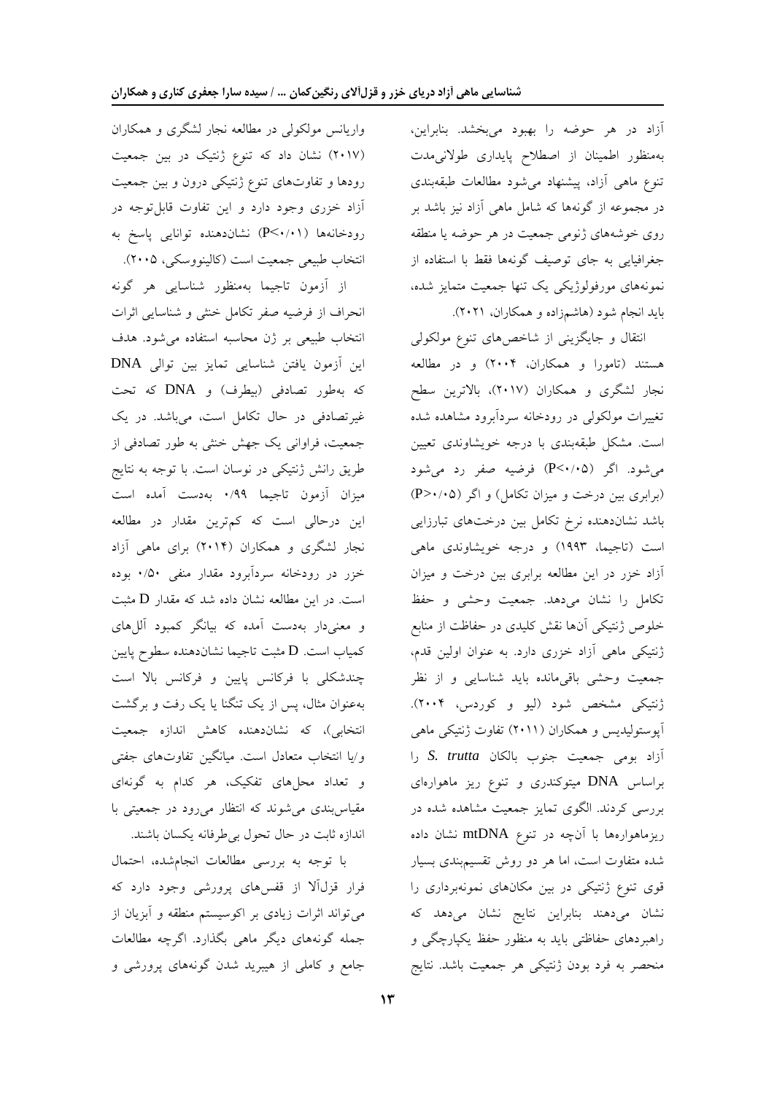آزاد در هر حوضه را بهبود میبخشد. بنابراین، بهمنظور اطمینان از اصطلاح پایداری طولانیمدت تنوع ماهی آزاد، پیشنهاد میشود مطالعات طبقهبندی در مجموعه از گونهها که شامل ماهی آزاد نیز باشد بر روی خوشههای ژنومی جمعیت در هر حوضه یا منطقه جغرافیایی به جای توصیف گونهها فقط با استفاده از نمونههای مورفولوژیکی یک تنها جمعیت متمایز شده، باید انجام شود (هاشمزاده و همکاران، ۲۰۲۱).

انتقال و جایگزینی از شاخصهای تنوع مولکولی هستند (تامورا و همکاران، ۲۰۰۴) و در مطالعه نجار لشگرى و همكاران (٢٠١٧)، بالاترين سطح تغییرات مولکولی در رودخانه سردآبرود مشاهده شده است. مشكل طبقهبندی با درجه خویشاوندی تعیین می شود. اگر (P<۰/۰۵) فرضیه صفر رد می شود (برابري بين درخت و ميزان تكامل) و اگر (P>٠/٠۵) باشد نشاندهنده نرخ تكامل بين درختهای تبارزایی است (تاجیما، ۱۹۹۳) و درجه خویشاوندی ماهی آزاد خزر در این مطالعه برابری بین درخت و میزان تكامل را نشان میدهد. جمعیت وحشی و حفظ خلوص ژنتیکی آنها نقش کلیدی در حفاظت از منابع ژنتیکی ماهی آزاد خزری دارد. به عنوان اولین قدم، جمعیت وحشی باقی مانده باید شناسایی و از نظر ژنتیکی مشخص شود (لیو و کوردس، ۲۰۰۴). آپوستولیدیس و همکاران (۲۰۱۱) تفاوت ژنتیکی ماهی آزاد بومی جمعیت جنوب بالکان S. trutta را براساس DNA میتوکندری و تنوع ریز ماهوارهای بررسی کردند. الگوی تمایز جمعیت مشاهده شده در ریزماهوارهها با آنچه در تنوع mtDNA نشان داده شده متفاوت است، اما هر دو روش تقسیمبندی بسیار قوی تنوع ژنتیکی در بين مکانهای نمونهبرداری را نشان میدهند بنابراین نتایج نشان میدهد كه راهبردهای حفاظتی باید به منظور حفظ یکپارچگی و منحصر به فرد بودن ژنتیکی هر جمعیت باشد. نتایج

واریانس مولکولی در مطالعه نجار لشگری و همکاران (٢٠١٧) نشان داد كه تنوع ژنتیک در بین جمعیت رودها و تفاوتهای تنوع ژنتیکی درون و بین جمعیت آزاد خزري وجود دارد و این تفاوت قابل توجه در رودخانهها (P<۰/۰۱) نشاندهنده توانایی پاسخ به انتخاب طبیعی جمعیت است (کالینووسکی، ۲۰۰۵).

از آزمون تاجیما بهمنظور شناسایی هر گونه انحراف از فرضیه صفر تکامل خنثی و شناسایی اثرات انتخاب طبیعی بر ژن محاسبه استفاده می شود. هدف این آزمون یافتن شناسایی تمایز بین توالی DNA که بهطور تصادفی (بیطرف) و DNA که تحت غیرتصادفی در حال تکامل است، میباشد. در یک جمعیت، فراوانی یک جهش خنثی به طور تصادفی از طریق رانش ژنتیکی در نوسان است. با توجه به نتایج میزان آزمون تاجیما ۰/۹۹ بهدست آمده است این درحالی است که کمترین مقدار در مطالعه نجار لشگری و همکاران (۲۰۱۴) برای ماهی آزاد خزر در رودخانه سردآبرود مقدار منفی ۰/۵۰ بوده است. در این مطالعه نشان داده شد كه مقدار D مثبت و معنیدار به دست آمده که بیانگر کمبود آللهای کمیاب است. D مثبت تاجیما نشاندهنده سطوح پایین چندشكلی با فركانس پايین و فركانس بالا است به عنوان مثال، پس از یک تنگنا یا یک رفت و برگشت انتخابی)، كه نشاندهنده كاهش اندازه جمعیت و/یا انتخاب متعادل است. میانگین تفاوتهای جفتی و تعداد محلهای تفکیک، هر کدام به گونهای مقیاس بندی می شوند که انتظار می رود در جمعیتی با اندازه ثابت در حال تحول بی طرفانه یکسان باشند.

با توجه به بررسی مطالعات انجامشده، احتمال فرار قزل آلا از قفس های پرورشی وجود دارد که می تواند اثرات زيادی بر اكوسيستم منطقه و آبزيان از جمله گونههای دیگر ماهی بگذارد. اگرچه مطالعات جامع و کاملی از هیبرید شدن گونههای پرورشی و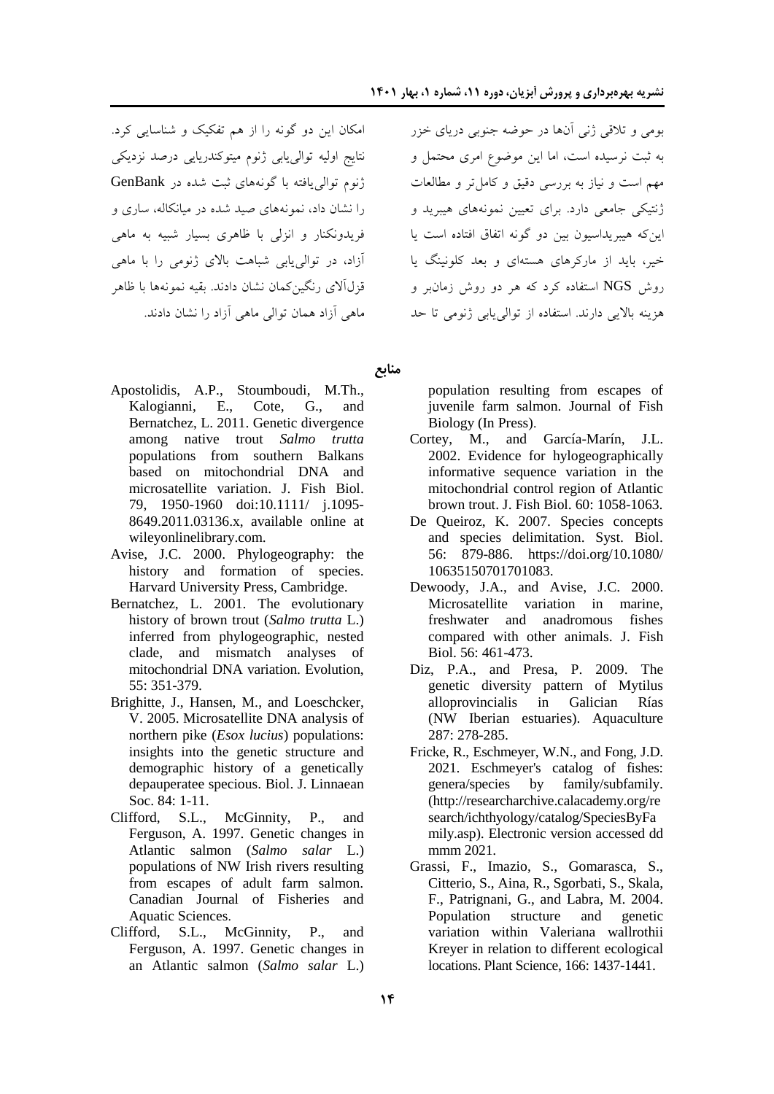امکان این دو گونه را از هم تفکیک و شناسایی کرد. نتایج اولیه توالی پایی ژنوم میتوکندریایی درصد نزدیکی ژنوم توالی یافته با گونههای ثبت شده در GenBank را نشان داد، نمونههای صید شده در میانکاله، ساری و فریدونکنار و انزلی با ظاهری بسیار شبیه به ماهی آزاد، در توالی یابی شباهت بالای ژنومی را با ماهی قزلآلای رنگبزکمان نشان دادند. بقیه نمونهها با ظاهر ٔ ماهی آزاد همان توالی ماهی آزاد را نشان دادند.

بومی و تلاقی ژنی آنها در حوضه جنوبی دریای خزر به ثبت نرسیده است، اما این موضوع امری محتمل و مهم است و نیاز به بررسی دقیق و کاملتر و مطالعات ژنتیکی جامعی دارد. برای تعیین نمونههای هیبرید و این که هیپر بداسیون بین دو گونه اتفاق افتاده است با خیر، باید از ماركرهای هستهای و بعد كلونینگ یا روش NGS استفاده کرد که هر دو روش زمان و هزینه بالایی دارند. استفاده از توالی پایی ژنومی تا حد

**مىابع**

- Apostolidis, A.P., Stoumboudi, M.Th., Kalogianni, E., Cote, G., and Bernatchez, L. 2011. Genetic divergence among native trout *Salmo trutta* populations from southern Balkans based on mitochondrial DNA and microsatellite variation. J. Fish Biol. 79, 1950-1960 doi:10.1111/ j.1095- 8649.2011.03136.x, available online at wileyonlinelibrary.com.
- Avise, J.C. 2000. Phylogeography: the history and formation of species. Harvard University Press, Cambridge.
- Bernatchez, L. 2001. The evolutionary history of brown trout (*Salmo trutta* L.) inferred from phylogeographic, nested clade, and mismatch analyses of mitochondrial DNA variation. Evolution, 55: 351-379.
- Brighitte, J., Hansen, M., and Loeschcker, V. 2005. Microsatellite DNA analysis of northern pike (*Esox lucius*) populations: insights into the genetic structure and demographic history of a genetically depauperatee specious. Biol. J. Linnaean Soc. 84: 1-11.
- Clifford, S.L., McGinnity, P., and Ferguson, A. 1997. Genetic changes in Atlantic salmon (*Salmo salar* L.) populations of NW Irish rivers resulting from escapes of adult farm salmon. Canadian Journal of Fisheries and Aquatic Sciences.
- Clifford, S.L., McGinnity, P., and Ferguson, A. 1997. Genetic changes in an Atlantic salmon (*Salmo salar* L.)

population resulting from escapes of juvenile farm salmon. Journal of Fish Biology (In Press).

- Cortey, M., and García-Marín, J.L. 2002. Evidence for hylogeographically informative sequence variation in the mitochondrial control region of Atlantic brown trout. J. Fish Biol. 60: 1058-1063.
- De Queiroz, K. 2007. Species concepts and species delimitation. Syst. Biol. 56: 879-886. https://doi.org/10.1080/ 10635150701701083.
- Dewoody, J.A., and Avise, J.C. 2000. Microsatellite variation in marine, freshwater and anadromous fishes compared with other animals. J. Fish Biol. 56: 461-473.
- Diz, P.A., and Presa, P. 2009. The genetic diversity pattern of Mytilus alloprovincialis in Galician Rías (NW Iberian estuaries). Aquaculture 287: 278-285.
- Fricke, R., Eschmeyer, W.N., and Fong, J.D. 2021. Eschmeyer's catalog of fishes: genera/species by family/subfamily. (http://researcharchive.calacademy.org/re search/ichthyology/catalog/SpeciesByFa mily.asp). Electronic version accessed dd mmm 2021.
- Grassi, F., Imazio, S., Gomarasca, S., Citterio, S., Aina, R., Sgorbati, S., Skala, F., Patrignani, G., and Labra, M. 2004. Population structure and genetic variation within Valeriana wallrothii Kreyer in relation to different ecological locations. Plant Science, 166: 1437-1441.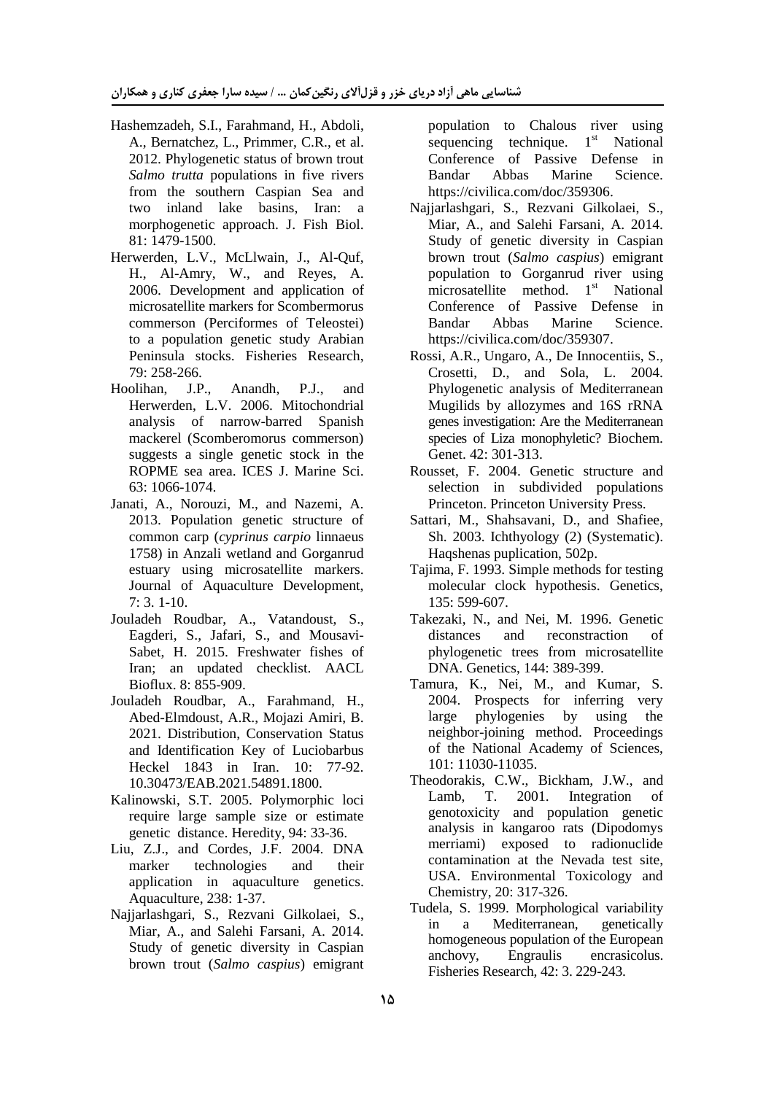- Hashemzadeh, S.I., Farahmand, H., Abdoli, A., Bernatchez, L., Primmer, C.R., et al. 2012. Phylogenetic status of brown trout *Salmo trutta* populations in five rivers from the southern Caspian Sea and two inland lake basins, Iran: a morphogenetic approach. J. Fish Biol. 81: 1479-1500.
- Herwerden, L.V., McLlwain, J., Al-Quf, H., Al-Amry, W., and Reyes, A. 2006. Development and application of microsatellite markers for Scombermorus commerson (Perciformes of Teleostei) to a population genetic study Arabian Peninsula stocks. Fisheries Research, 79: 258-266.
- Hoolihan, J.P., Anandh, P.J., and Herwerden, L.V. 2006. Mitochondrial analysis of narrow-barred Spanish mackerel (Scomberomorus commerson) suggests a single genetic stock in the ROPME sea area. ICES J. Marine Sci. 63: 1066-1074.
- Janati, A., Norouzi, M., and Nazemi, A. 2013. Population genetic structure of common carp (*cyprinus carpio* linnaeus 1758) in Anzali wetland and Gorganrud estuary using microsatellite markers. Journal of Aquaculture Development,  $7: 3. 1-10.$
- Jouladeh Roudbar, A., Vatandoust, S., Eagderi, S., Jafari, S., and Mousavi-Sabet, H. 2015. Freshwater fishes of Iran; an updated checklist. AACL Bioflux. 8: 855-909.
- Jouladeh Roudbar, A., Farahmand, H., Abed-Elmdoust, A.R., Mojazi Amiri, B. 2021. Distribution, Conservation Status and Identification Key of Luciobarbus Heckel 1843 in Iran. 10: 77-92. 10.30473/EAB.2021.54891.1800.
- Kalinowski, S.T. 2005. Polymorphic loci require large sample size or estimate genetic distance. Heredity, 94: 33-36.
- Liu, Z.J., and Cordes, J.F. 2004. DNA marker technologies and their application in aquaculture genetics. Aquaculture, 238: 1-37.
- Najjarlashgari, S., Rezvani Gilkolaei, S., Miar, A., and Salehi Farsani, A. 2014. Study of genetic diversity in Caspian brown trout (*Salmo caspius*) emigrant

population to Chalous river using sequencing technique.  $1<sup>st</sup>$  National Conference of Passive Defense in Bandar Abbas Marine Science. https://civilica.com/doc/359306.

- Najjarlashgari, S., Rezvani Gilkolaei, S., Miar, A., and Salehi Farsani, A. 2014. Study of genetic diversity in Caspian brown trout (*Salmo caspius*) emigrant population to Gorganrud river using microsatellite method. 1<sup>st</sup> National Conference of Passive Defense in Bandar Abbas Marine Science. https://civilica.com/doc/359307.
- Rossi, A.R., Ungaro, A., De Innocentiis, S., Crosetti, D., and Sola, L. 2004. Phylogenetic analysis of Mediterranean Mugilids by allozymes and 16S rRNA genes investigation: Are the Mediterranean species of Liza monophyletic? Biochem. Genet. 42: 301-313.
- Rousset, F. 2004. Genetic structure and selection in subdivided populations Princeton. Princeton University Press.
- Sattari, M., Shahsavani, D., and Shafiee, Sh. 2003. Ichthyology (2) (Systematic). Haqshenas puplication, 502p.
- Tajima, F. 1993. Simple methods for testing molecular clock hypothesis. Genetics, 135: 599-607.
- Takezaki, N., and Nei, M. 1996. Genetic distances and reconstraction of phylogenetic trees from microsatellite DNA. Genetics, 144: 389-399.
- Tamura, K., Nei, M., and Kumar, S. 2004. Prospects for inferring very large phylogenies by using the neighbor-joining method. Proceedings of the National Academy of Sciences, 101: 11030-11035.
- Theodorakis, C.W., Bickham, J.W., and Lamb, T. 2001. Integration of genotoxicity and population genetic analysis in kangaroo rats (Dipodomys merriami) exposed to radionuclide contamination at the Nevada test site, USA. Environmental Toxicology and Chemistry, 20: 317-326.
- Tudela, S. 1999. Morphological variability in a Mediterranean, genetically homogeneous population of the European anchovy, Engraulis encrasicolus. Fisheries Research, 42: 3. 229-243.